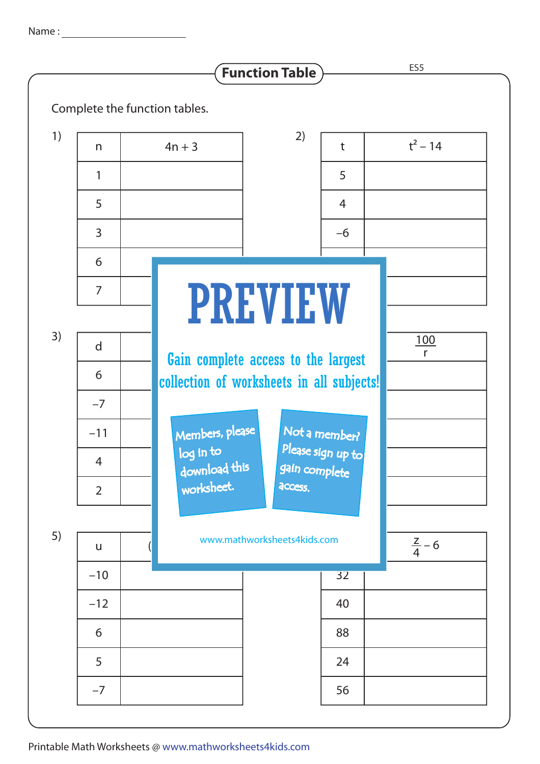